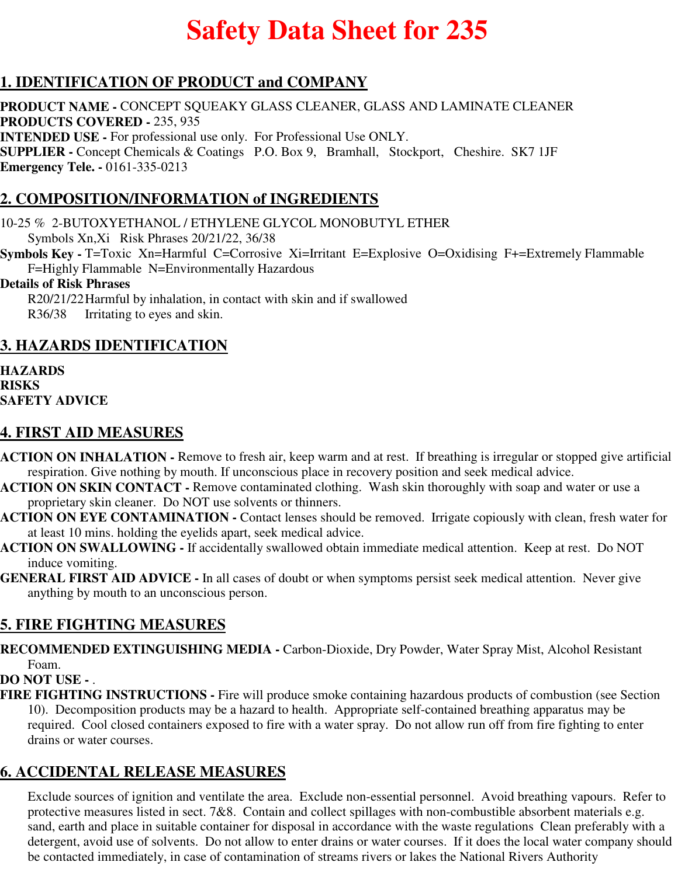# **Safety Data Sheet for 235**

# **1. IDENTIFICATION OF PRODUCT and COMPANY**

**PRODUCT NAME -** CONCEPT SQUEAKY GLASS CLEANER, GLASS AND LAMINATE CLEANER **PRODUCTS COVERED -** 235, 935 **INTENDED USE -** For professional use only. For Professional Use ONLY. **SUPPLIER -** Concept Chemicals & Coatings P.O. Box 9, Bramhall, Stockport, Cheshire. SK7 1JF **Emergency Tele. -** 0161-335-0213

# **2. COMPOSITION/INFORMATION of INGREDIENTS**

10-25 % 2-BUTOXYETHANOL / ETHYLENE GLYCOL MONOBUTYL ETHER Symbols Xn,Xi Risk Phrases 20/21/22, 36/38

**Symbols Key -** T=Toxic Xn=Harmful C=Corrosive Xi=Irritant E=Explosive O=Oxidising F+=Extremely Flammable F=Highly Flammable N=Environmentally Hazardous

#### **Details of Risk Phrases**

R20/21/22Harmful by inhalation, in contact with skin and if swallowed R36/38 Irritating to eyes and skin.

## **3. HAZARDS IDENTIFICATION**

**HAZARDS RISKS SAFETY ADVICE**

#### **4. FIRST AID MEASURES**

- **ACTION ON INHALATION** Remove to fresh air, keep warm and at rest. If breathing is irregular or stopped give artificial respiration. Give nothing by mouth. If unconscious place in recovery position and seek medical advice.
- **ACTION ON SKIN CONTACT** Remove contaminated clothing. Wash skin thoroughly with soap and water or use a proprietary skin cleaner. Do NOT use solvents or thinners.
- **ACTION ON EYE CONTAMINATION** Contact lenses should be removed. Irrigate copiously with clean, fresh water for at least 10 mins. holding the eyelids apart, seek medical advice.
- **ACTION ON SWALLOWING** If accidentally swallowed obtain immediate medical attention. Keep at rest. Do NOT induce vomiting.
- **GENERAL FIRST AID ADVICE** In all cases of doubt or when symptoms persist seek medical attention. Never give anything by mouth to an unconscious person.

## **5. FIRE FIGHTING MEASURES**

**RECOMMENDED EXTINGUISHING MEDIA -** Carbon-Dioxide, Dry Powder, Water Spray Mist, Alcohol Resistant Foam.

#### **DO NOT USE -** .

**FIRE FIGHTING INSTRUCTIONS -** Fire will produce smoke containing hazardous products of combustion (see Section 10). Decomposition products may be a hazard to health. Appropriate self-contained breathing apparatus may be required. Cool closed containers exposed to fire with a water spray. Do not allow run off from fire fighting to enter drains or water courses.

## **6. ACCIDENTAL RELEASE MEASURES**

Exclude sources of ignition and ventilate the area. Exclude non-essential personnel. Avoid breathing vapours. Refer to protective measures listed in sect. 7&8. Contain and collect spillages with non-combustible absorbent materials e.g. sand, earth and place in suitable container for disposal in accordance with the waste regulations Clean preferably with a detergent, avoid use of solvents. Do not allow to enter drains or water courses. If it does the local water company should be contacted immediately, in case of contamination of streams rivers or lakes the National Rivers Authority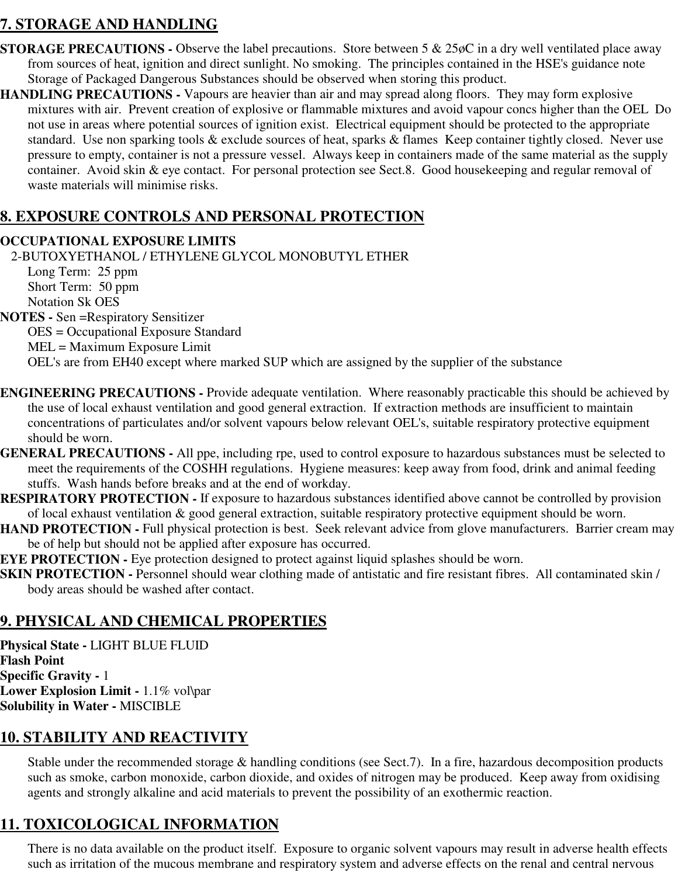# **7. STORAGE AND HANDLING**

- **STORAGE PRECAUTIONS -** Observe the label precautions. Store between 5 & 25 $\phi$ C in a dry well ventilated place away from sources of heat, ignition and direct sunlight. No smoking. The principles contained in the HSE's guidance note Storage of Packaged Dangerous Substances should be observed when storing this product.
- **HANDLING PRECAUTIONS** Vapours are heavier than air and may spread along floors. They may form explosive mixtures with air. Prevent creation of explosive or flammable mixtures and avoid vapour concs higher than the OEL Do not use in areas where potential sources of ignition exist. Electrical equipment should be protected to the appropriate standard. Use non sparking tools & exclude sources of heat, sparks & flames Keep container tightly closed. Never use pressure to empty, container is not a pressure vessel. Always keep in containers made of the same material as the supply container. Avoid skin & eye contact. For personal protection see Sect.8. Good housekeeping and regular removal of waste materials will minimise risks.

# **8. EXPOSURE CONTROLS AND PERSONAL PROTECTION**

#### **OCCUPATIONAL EXPOSURE LIMITS**

2-BUTOXYETHANOL / ETHYLENE GLYCOL MONOBUTYL ETHER

Long Term: 25 ppm Short Term: 50 ppm Notation Sk OES

**NOTES -** Sen =Respiratory Sensitizer

OES = Occupational Exposure Standard

MEL = Maximum Exposure Limit

OEL's are from EH40 except where marked SUP which are assigned by the supplier of the substance

- **ENGINEERING PRECAUTIONS** Provide adequate ventilation. Where reasonably practicable this should be achieved by the use of local exhaust ventilation and good general extraction. If extraction methods are insufficient to maintain concentrations of particulates and/or solvent vapours below relevant OEL's, suitable respiratory protective equipment should be worn.
- **GENERAL PRECAUTIONS** All ppe, including rpe, used to control exposure to hazardous substances must be selected to meet the requirements of the COSHH regulations. Hygiene measures: keep away from food, drink and animal feeding stuffs. Wash hands before breaks and at the end of workday.
- **RESPIRATORY PROTECTION** If exposure to hazardous substances identified above cannot be controlled by provision of local exhaust ventilation & good general extraction, suitable respiratory protective equipment should be worn.
- **HAND PROTECTION Full physical protection is best. Seek relevant advice from glove manufacturers. Barrier cream may** be of help but should not be applied after exposure has occurred.
- **EYE PROTECTION -** Eye protection designed to protect against liquid splashes should be worn.
- **SKIN PROTECTION -** Personnel should wear clothing made of antistatic and fire resistant fibres. All contaminated skin / body areas should be washed after contact.

# **9. PHYSICAL AND CHEMICAL PROPERTIES**

**Physical State -** LIGHT BLUE FLUID **Flash Point Specific Gravity -** 1 **Lower Explosion Limit -** 1.1% vol\par **Solubility in Water -** MISCIBLE

## **10. STABILITY AND REACTIVITY**

Stable under the recommended storage & handling conditions (see Sect.7). In a fire, hazardous decomposition products such as smoke, carbon monoxide, carbon dioxide, and oxides of nitrogen may be produced. Keep away from oxidising agents and strongly alkaline and acid materials to prevent the possibility of an exothermic reaction.

# **11. TOXICOLOGICAL INFORMATION**

There is no data available on the product itself. Exposure to organic solvent vapours may result in adverse health effects such as irritation of the mucous membrane and respiratory system and adverse effects on the renal and central nervous